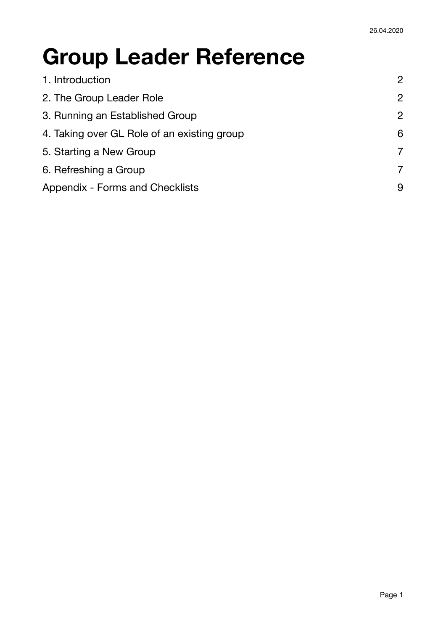# **Group Leader Reference**

| 1. Introduction                             | 2              |
|---------------------------------------------|----------------|
| 2. The Group Leader Role                    | $\overline{2}$ |
| 3. Running an Established Group             | $\overline{2}$ |
| 4. Taking over GL Role of an existing group | 6              |
| 5. Starting a New Group                     | $\overline{7}$ |
| 6. Refreshing a Group                       | $\overline{7}$ |
| Appendix - Forms and Checklists             | 9              |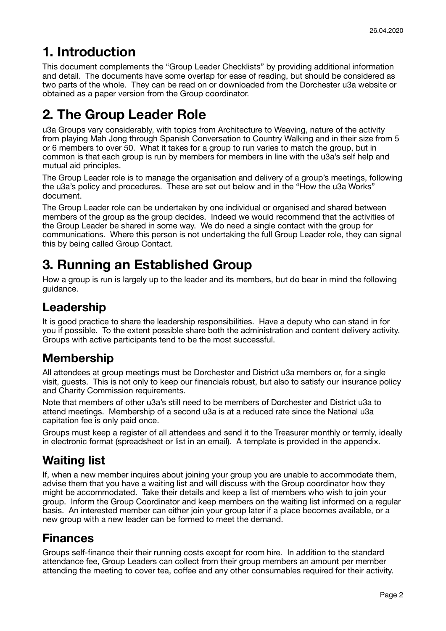# <span id="page-1-0"></span>**1. Introduction**

This document complements the "Group Leader Checklists" by providing additional information and detail. The documents have some overlap for ease of reading, but should be considered as two parts of the whole. They can be read on or downloaded from the Dorchester u3a website or obtained as a paper version from the Group coordinator.

# <span id="page-1-1"></span>**2. The Group Leader Role**

u3a Groups vary considerably, with topics from Architecture to Weaving, nature of the activity from playing Mah Jong through Spanish Conversation to Country Walking and in their size from 5 or 6 members to over 50. What it takes for a group to run varies to match the group, but in common is that each group is run by members for members in line with the u3a's self help and mutual aid principles.

The Group Leader role is to manage the organisation and delivery of a group's meetings, following the u3a's policy and procedures. These are set out below and in the "How the u3a Works" document.

The Group Leader role can be undertaken by one individual or organised and shared between members of the group as the group decides. Indeed we would recommend that the activities of the Group Leader be shared in some way. We do need a single contact with the group for communications. Where this person is not undertaking the full Group Leader role, they can signal this by being called Group Contact.

# <span id="page-1-2"></span>**3. Running an Established Group**

How a group is run is largely up to the leader and its members, but do bear in mind the following guidance.

## **Leadership**

It is good practice to share the leadership responsibilities. Have a deputy who can stand in for you if possible. To the extent possible share both the administration and content delivery activity. Groups with active participants tend to be the most successful.

## **Membership**

All attendees at group meetings must be Dorchester and District u3a members or, for a single visit, guests. This is not only to keep our financials robust, but also to satisfy our insurance policy and Charity Commission requirements.

Note that members of other u3a's still need to be members of Dorchester and District u3a to attend meetings. Membership of a second u3a is at a reduced rate since the National u3a capitation fee is only paid once.

Groups must keep a register of all attendees and send it to the Treasurer monthly or termly, ideally in electronic format (spreadsheet or list in an email). A template is provided in the appendix.

## **Waiting list**

If, when a new member inquires about joining your group you are unable to accommodate them, advise them that you have a waiting list and will discuss with the Group coordinator how they might be accommodated. Take their details and keep a list of members who wish to join your group. Inform the Group Coordinator and keep members on the waiting list informed on a regular basis. An interested member can either join your group later if a place becomes available, or a new group with a new leader can be formed to meet the demand.

## **Finances**

Groups self-finance their their running costs except for room hire. In addition to the standard attendance fee, Group Leaders can collect from their group members an amount per member attending the meeting to cover tea, coffee and any other consumables required for their activity.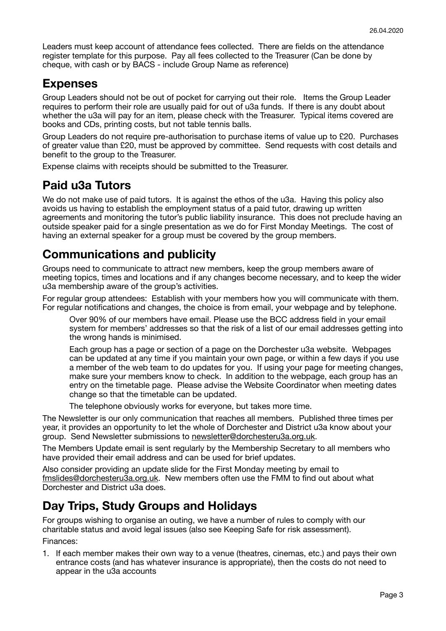Leaders must keep account of attendance fees collected. There are fields on the attendance register template for this purpose. Pay all fees collected to the Treasurer (Can be done by cheque, with cash or by BACS - include Group Name as reference)

#### **Expenses**

Group Leaders should not be out of pocket for carrying out their role. Items the Group Leader requires to perform their role are usually paid for out of u3a funds. If there is any doubt about whether the u3a will pay for an item, please check with the Treasurer. Typical items covered are books and CDs, printing costs, but not table tennis balls.

Group Leaders do not require pre-authorisation to purchase items of value up to £20. Purchases of greater value than £20, must be approved by committee. Send requests with cost details and benefit to the group to the Treasurer.

Expense claims with receipts should be submitted to the Treasurer.

### **Paid u3a Tutors**

We do not make use of paid tutors. It is against the ethos of the u3a. Having this policy also avoids us having to establish the employment status of a paid tutor, drawing up written agreements and monitoring the tutor's public liability insurance. This does not preclude having an outside speaker paid for a single presentation as we do for First Monday Meetings. The cost of having an external speaker for a group must be covered by the group members.

## **Communications and publicity**

Groups need to communicate to attract new members, keep the group members aware of meeting topics, times and locations and if any changes become necessary, and to keep the wider u3a membership aware of the group's activities.

For regular group attendees: Establish with your members how you will communicate with them. For regular notifications and changes, the choice is from email, your webpage and by telephone.

Over 90% of our members have email. Please use the BCC address field in your email system for members' addresses so that the risk of a list of our email addresses getting into the wrong hands is minimised.

Each group has a page or section of a page on the Dorchester u3a website. Webpages can be updated at any time if you maintain your own page, or within a few days if you use a member of the web team to do updates for you. If using your page for meeting changes, make sure your members know to check. In addition to the webpage, each group has an entry on the timetable page. Please advise the Website Coordinator when meeting dates change so that the timetable can be updated.

The telephone obviously works for everyone, but takes more time.

The Newsletter is our only communication that reaches all members. Published three times per year, it provides an opportunity to let the whole of Dorchester and District u3a know about your group. Send Newsletter submissions to [newsletter@dorchesteru3a.org.uk](mailto:newsletter@dorchesteru3a.org.uk).

The Members Update email is sent regularly by the Membership Secretary to all members who have provided their email address and can be used for brief updates.

Also consider providing an update slide for the First Monday meeting by email to [fmslides@dorchesteru3a.org.uk](mailto:fmslides@dorchesteru3a.org.uk). New members often use the FMM to find out about what Dorchester and District u3a does.

## **Day Trips, Study Groups and Holidays**

For groups wishing to organise an outing, we have a number of rules to comply with our charitable status and avoid legal issues (also see Keeping Safe for risk assessment). Finances:

1. If each member makes their own way to a venue (theatres, cinemas, etc.) and pays their own entrance costs (and has whatever insurance is appropriate), then the costs do not need to appear in the u3a accounts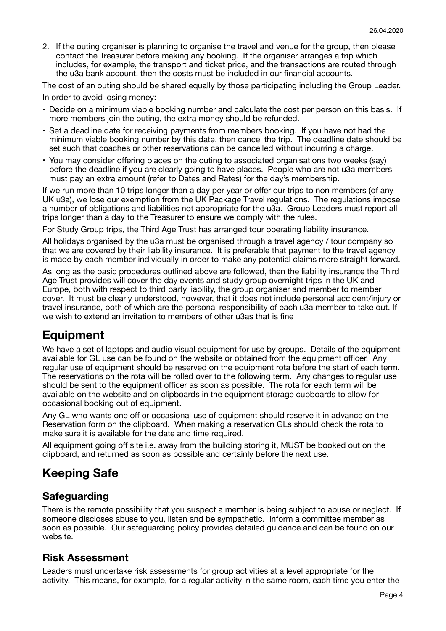2. If the outing organiser is planning to organise the travel and venue for the group, then please contact the Treasurer before making any booking. If the organiser arranges a trip which includes, for example, the transport and ticket price, and the transactions are routed through the u3a bank account, then the costs must be included in our financial accounts.

The cost of an outing should be shared equally by those participating including the Group Leader.

In order to avoid losing money:

- Decide on a minimum viable booking number and calculate the cost per person on this basis. If more members join the outing, the extra money should be refunded.
- Set a deadline date for receiving payments from members booking. If you have not had the minimum viable booking number by this date, then cancel the trip. The deadline date should be set such that coaches or other reservations can be cancelled without incurring a charge.
- You may consider offering places on the outing to associated organisations two weeks (say) before the deadline if you are clearly going to have places. People who are not u3a members must pay an extra amount (refer to Dates and Rates) for the day's membership.

If we run more than 10 trips longer than a day per year or offer our trips to non members (of any UK u3a), we lose our exemption from the UK Package Travel regulations. The regulations impose a number of obligations and liabilities not appropriate for the u3a. Group Leaders must report all trips longer than a day to the Treasurer to ensure we comply with the rules.

For Study Group trips, the Third Age Trust has arranged tour operating liability insurance.

All holidays organised by the u3a must be organised through a travel agency / tour company so that we are covered by their liability insurance. It is preferable that payment to the travel agency is made by each member individually in order to make any potential claims more straight forward.

As long as the basic procedures outlined above are followed, then the liability insurance the Third Age Trust provides will cover the day events and study group overnight trips in the UK and Europe, both with respect to third party liability, the group organiser and member to member cover. It must be clearly understood, however, that it does not include personal accident/injury or travel insurance, both of which are the personal responsibility of each u3a member to take out. If we wish to extend an invitation to members of other u3as that is fine

## **Equipment**

We have a set of laptops and audio visual equipment for use by groups. Details of the equipment available for GL use can be found on the website or obtained from the equipment officer. Any regular use of equipment should be reserved on the equipment rota before the start of each term. The reservations on the rota will be rolled over to the following term. Any changes to regular use should be sent to the equipment officer as soon as possible. The rota for each term will be available on the website and on clipboards in the equipment storage cupboards to allow for occasional booking out of equipment.

Any GL who wants one off or occasional use of equipment should reserve it in advance on the Reservation form on the clipboard. When making a reservation GLs should check the rota to make sure it is available for the date and time required.

All equipment going off site i.e. away from the building storing it, MUST be booked out on the clipboard, and returned as soon as possible and certainly before the next use.

## **Keeping Safe**

#### **Safeguarding**

There is the remote possibility that you suspect a member is being subject to abuse or neglect. If someone discloses abuse to you, listen and be sympathetic. Inform a committee member as soon as possible. Our safeguarding policy provides detailed guidance and can be found on our website.

#### **Risk Assessment**

Leaders must undertake risk assessments for group activities at a level appropriate for the activity. This means, for example, for a regular activity in the same room, each time you enter the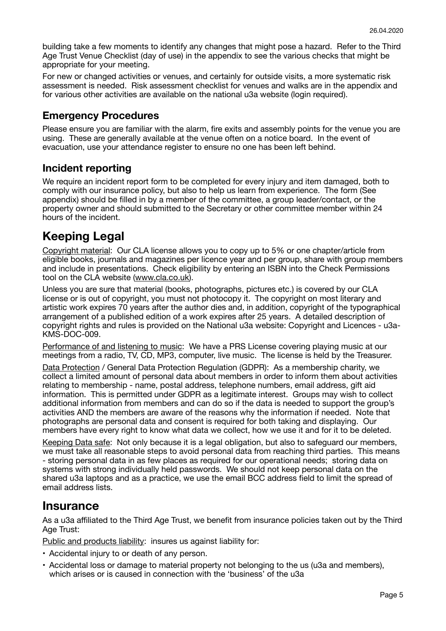building take a few moments to identify any changes that might pose a hazard. Refer to the Third Age Trust Venue Checklist (day of use) in the appendix to see the various checks that might be appropriate for your meeting.

For new or changed activities or venues, and certainly for outside visits, a more systematic risk assessment is needed. Risk assessment checklist for venues and walks are in the appendix and for various other activities are available on the national u3a website (login required).

#### **Emergency Procedures**

Please ensure you are familiar with the alarm, fire exits and assembly points for the venue you are using. These are generally available at the venue often on a notice board. In the event of evacuation, use your attendance register to ensure no one has been left behind.

#### **Incident reporting**

We require an incident report form to be completed for every injury and item damaged, both to comply with our insurance policy, but also to help us learn from experience. The form (See appendix) should be filled in by a member of the committee, a group leader/contact, or the property owner and should submitted to the Secretary or other committee member within 24 hours of the incident.

## **Keeping Legal**

Copyright material: Our CLA license allows you to copy up to 5% or one chapter/article from eligible books, journals and magazines per licence year and per group, share with group members and include in presentations. Check eligibility by entering an ISBN into the Check Permissions tool on the CLA website ([www.cla.co.uk](http://www.cla.co.uk)).

Unless you are sure that material (books, photographs, pictures etc.) is covered by our CLA license or is out of copyright, you must not photocopy it. The copyright on most literary and artistic work expires 70 years after the author dies and, in addition, copyright of the typographical arrangement of a published edition of a work expires after 25 years. A detailed description of copyright rights and rules is provided on the National u3a website: Copyright and Licences - u3a-KMS-DOC-009.

Performance of and listening to music: We have a PRS License covering playing music at our meetings from a radio, TV, CD, MP3, computer, live music. The license is held by the Treasurer.

Data Protection / General Data Protection Regulation (GDPR): As a membership charity, we collect a limited amount of personal data about members in order to inform them about activities relating to membership - name, postal address, telephone numbers, email address, gift aid information. This is permitted under GDPR as a legitimate interest. Groups may wish to collect additional information from members and can do so if the data is needed to support the group's activities AND the members are aware of the reasons why the information if needed. Note that photographs are personal data and consent is required for both taking and displaying. Our members have every right to know what data we collect, how we use it and for it to be deleted.

Keeping Data safe: Not only because it is a legal obligation, but also to safeguard our members, we must take all reasonable steps to avoid personal data from reaching third parties. This means - storing personal data in as few places as required for our operational needs; storing data on systems with strong individually held passwords. We should not keep personal data on the shared u3a laptops and as a practice, we use the email BCC address field to limit the spread of email address lists.

#### **Insurance**

As a u3a affiliated to the Third Age Trust, we benefit from insurance policies taken out by the Third Age Trust:

Public and products liability: insures us against liability for:

- Accidental injury to or death of any person.
- Accidental loss or damage to material property not belonging to the us (u3a and members), which arises or is caused in connection with the 'business' of the u3a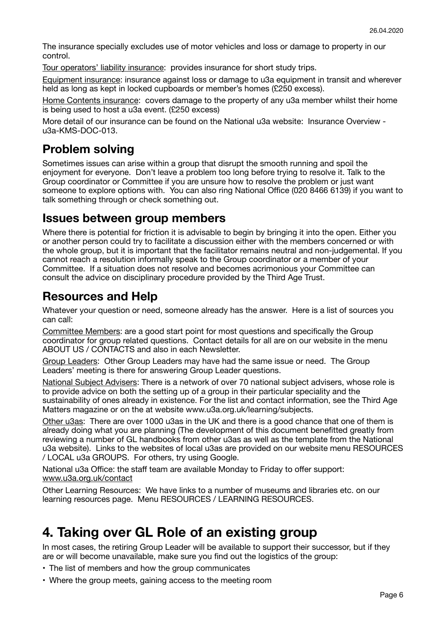The insurance specially excludes use of motor vehicles and loss or damage to property in our control.

Tour operators' liability insurance: provides insurance for short study trips.

Equipment insurance: insurance against loss or damage to u3a equipment in transit and wherever held as long as kept in locked cupboards or member's homes (£250 excess).

Home Contents insurance: covers damage to the property of any u3a member whilst their home is being used to host a u3a event. (£250 excess)

More detail of our insurance can be found on the National u3a website: Insurance Overview u3a-KMS-DOC-013.

## **Problem solving**

Sometimes issues can arise within a group that disrupt the smooth running and spoil the enjoyment for everyone. Don't leave a problem too long before trying to resolve it. Talk to the Group coordinator or Committee if you are unsure how to resolve the problem or just want someone to explore options with. You can also ring National Office (020 8466 6139) if you want to talk something through or check something out.

#### **Issues between group members**

Where there is potential for friction it is advisable to begin by bringing it into the open. Either you or another person could try to facilitate a discussion either with the members concerned or with the whole group, but it is important that the facilitator remains neutral and non-judgemental. If you cannot reach a resolution informally speak to the Group coordinator or a member of your Committee. If a situation does not resolve and becomes acrimonious your Committee can consult the advice on disciplinary procedure provided by the Third Age Trust.

### **Resources and Help**

Whatever your question or need, someone already has the answer. Here is a list of sources you can call:

Committee Members: are a good start point for most questions and specifically the Group coordinator for group related questions. Contact details for all are on our website in the menu ABOUT US / CONTACTS and also in each Newsletter.

Group Leaders: Other Group Leaders may have had the same issue or need. The Group Leaders' meeting is there for answering Group Leader questions.

National Subject Advisers: There is a network of over 70 national subject advisers, whose role is to provide advice on both the setting up of a group in their particular speciality and the sustainability of ones already in existence. For the list and contact information, see the Third Age Matters magazine or on the at website www.u3a.org.uk/learning/subjects.

Other u3as: There are over 1000 u3as in the UK and there is a good chance that one of them is already doing what you are planning (The development of this document benefitted greatly from reviewing a number of GL handbooks from other u3as as well as the template from the National u3a website). Links to the websites of local u3as are provided on our website menu RESOURCES / LOCAL u3a GROUPS. For others, try using Google.

National u3a Office: the staff team are available Monday to Friday to offer support: [www.u3a.org.uk/contact](http://www.u3a.org.uk/contact)

Other Learning Resources: We have links to a number of museums and libraries etc. on our learning resources page. Menu RESOURCES / LEARNING RESOURCES.

## <span id="page-5-0"></span>**4. Taking over GL Role of an existing group**

In most cases, the retiring Group Leader will be available to support their successor, but if they are or will become unavailable, make sure you find out the logistics of the group:

- The list of members and how the group communicates
- Where the group meets, gaining access to the meeting room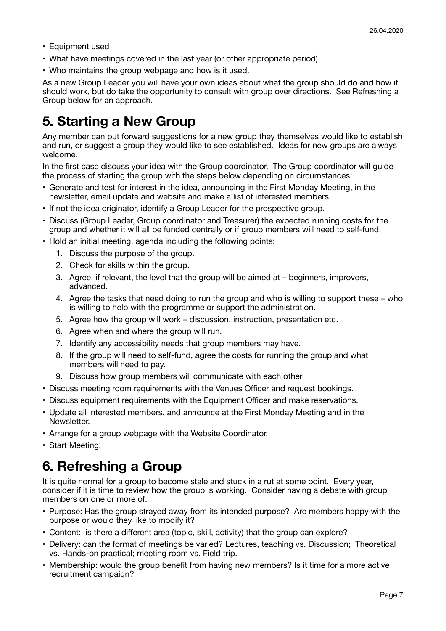- Equipment used
- What have meetings covered in the last year (or other appropriate period)
- Who maintains the group webpage and how is it used.

As a new Group Leader you will have your own ideas about what the group should do and how it should work, but do take the opportunity to consult with group over directions. See Refreshing a Group below for an approach.

## <span id="page-6-0"></span>**5. Starting a New Group**

Any member can put forward suggestions for a new group they themselves would like to establish and run, or suggest a group they would like to see established. Ideas for new groups are always welcome.

In the first case discuss your idea with the Group coordinator. The Group coordinator will guide the process of starting the group with the steps below depending on circumstances:

- Generate and test for interest in the idea, announcing in the First Monday Meeting, in the newsletter, email update and website and make a list of interested members.
- If not the idea originator, identify a Group Leader for the prospective group.
- Discuss (Group Leader, Group coordinator and Treasurer) the expected running costs for the group and whether it will all be funded centrally or if group members will need to self-fund.
- Hold an initial meeting, agenda including the following points:
	- 1. Discuss the purpose of the group.
	- 2. Check for skills within the group.
	- 3. Agree, if relevant, the level that the group will be aimed at beginners, improvers, advanced.
	- 4. Agree the tasks that need doing to run the group and who is willing to support these who is willing to help with the programme or support the administration.
	- 5. Agree how the group will work discussion, instruction, presentation etc.
	- 6. Agree when and where the group will run.
	- 7. Identify any accessibility needs that group members may have.
	- 8. If the group will need to self-fund, agree the costs for running the group and what members will need to pay.
	- 9. Discuss how group members will communicate with each other
- Discuss meeting room requirements with the Venues Officer and request bookings.
- Discuss equipment requirements with the Equipment Officer and make reservations.
- Update all interested members, and announce at the First Monday Meeting and in the Newsletter.
- Arrange for a group webpage with the Website Coordinator.
- Start Meeting!

## <span id="page-6-1"></span>**6. Refreshing a Group**

It is quite normal for a group to become stale and stuck in a rut at some point. Every year, consider if it is time to review how the group is working. Consider having a debate with group members on one or more of:

- Purpose: Has the group strayed away from its intended purpose? Are members happy with the purpose or would they like to modify it?
- Content: is there a different area (topic, skill, activity) that the group can explore?
- Delivery: can the format of meetings be varied? Lectures, teaching vs. Discussion; Theoretical vs. Hands-on practical; meeting room vs. Field trip.
- Membership: would the group benefit from having new members? Is it time for a more active recruitment campaign?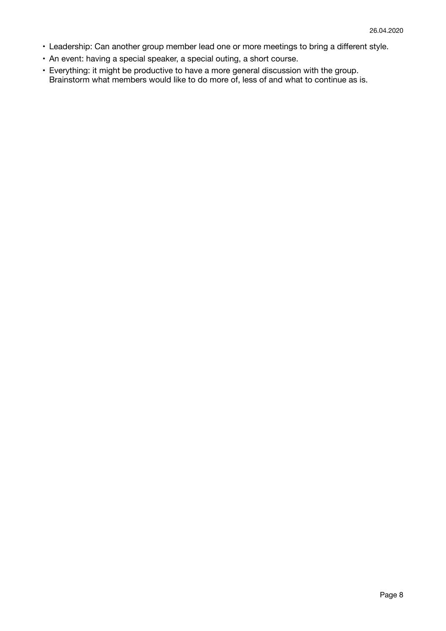- Leadership: Can another group member lead one or more meetings to bring a different style.
- An event: having a special speaker, a special outing, a short course.
- Everything: it might be productive to have a more general discussion with the group. Brainstorm what members would like to do more of, less of and what to continue as is.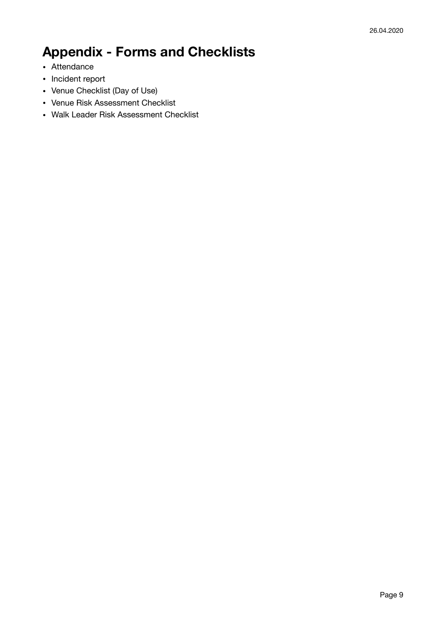# <span id="page-8-0"></span>**Appendix - Forms and Checklists**

- Attendance
- Incident report
- Venue Checklist (Day of Use)
- Venue Risk Assessment Checklist
- Walk Leader Risk Assessment Checklist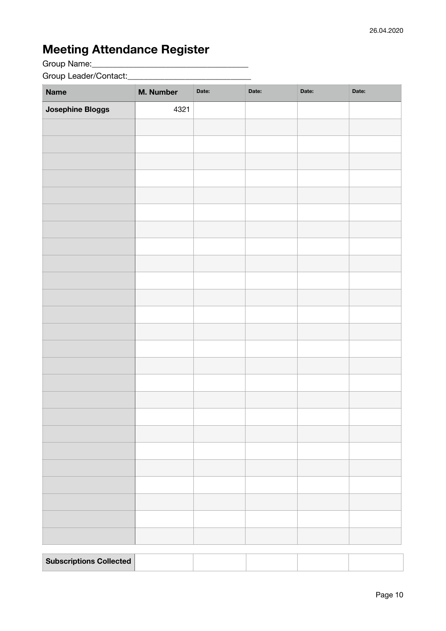## **Meeting Attendance Register**

Group Name:\_\_\_\_\_\_\_\_\_\_\_\_\_\_\_\_\_\_\_\_\_\_\_\_\_\_\_\_\_\_\_\_\_\_\_\_\_\_

Group Leader/Contact:\_\_\_\_\_\_\_\_\_\_\_\_\_\_\_\_\_\_\_\_\_\_\_\_\_\_\_\_\_\_

| <b>Name</b>      | M. Number | Date: | Date: | Date: | Date: |
|------------------|-----------|-------|-------|-------|-------|
| Josephine Bloggs | 4321      |       |       |       |       |
|                  |           |       |       |       |       |
|                  |           |       |       |       |       |
|                  |           |       |       |       |       |
|                  |           |       |       |       |       |
|                  |           |       |       |       |       |
|                  |           |       |       |       |       |
|                  |           |       |       |       |       |
|                  |           |       |       |       |       |
|                  |           |       |       |       |       |
|                  |           |       |       |       |       |
|                  |           |       |       |       |       |
|                  |           |       |       |       |       |
|                  |           |       |       |       |       |
|                  |           |       |       |       |       |
|                  |           |       |       |       |       |
|                  |           |       |       |       |       |
|                  |           |       |       |       |       |
|                  |           |       |       |       |       |
|                  |           |       |       |       |       |
|                  |           |       |       |       |       |
|                  |           |       |       |       |       |
|                  |           |       |       |       |       |
|                  |           |       |       |       |       |
|                  |           |       |       |       |       |
|                  |           |       |       |       |       |
|                  |           |       |       |       |       |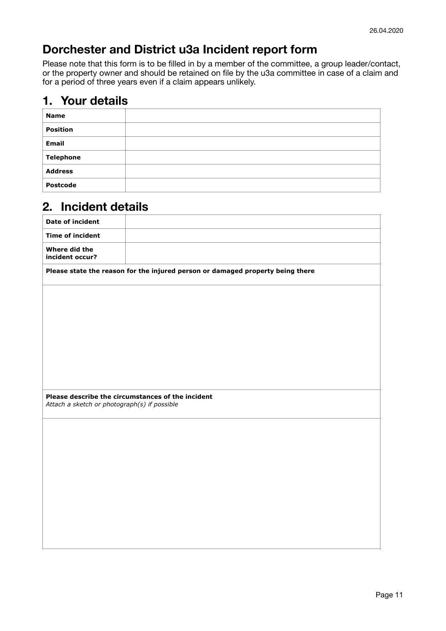## **Dorchester and District u3a Incident report form**

Please note that this form is to be filled in by a member of the committee, a group leader/contact, or the property owner and should be retained on file by the u3a committee in case of a claim and for a period of three years even if a claim appears unlikely.

### **1. Your details**

| <b>Name</b>      |  |
|------------------|--|
| <b>Position</b>  |  |
| Email            |  |
| <b>Telephone</b> |  |
| <b>Address</b>   |  |
| <b>Postcode</b>  |  |

## **2. Incident details**

| <b>Date of incident</b>                                                                           |                                                                                |  |  |
|---------------------------------------------------------------------------------------------------|--------------------------------------------------------------------------------|--|--|
| <b>Time of incident</b>                                                                           |                                                                                |  |  |
| Where did the<br>incident occur?                                                                  |                                                                                |  |  |
|                                                                                                   | Please state the reason for the injured person or damaged property being there |  |  |
|                                                                                                   |                                                                                |  |  |
|                                                                                                   |                                                                                |  |  |
|                                                                                                   |                                                                                |  |  |
|                                                                                                   |                                                                                |  |  |
|                                                                                                   |                                                                                |  |  |
|                                                                                                   |                                                                                |  |  |
| Please describe the circumstances of the incident<br>Attach a sketch or photograph(s) if possible |                                                                                |  |  |
|                                                                                                   |                                                                                |  |  |
|                                                                                                   |                                                                                |  |  |
|                                                                                                   |                                                                                |  |  |
|                                                                                                   |                                                                                |  |  |
|                                                                                                   |                                                                                |  |  |
|                                                                                                   |                                                                                |  |  |
|                                                                                                   |                                                                                |  |  |
|                                                                                                   |                                                                                |  |  |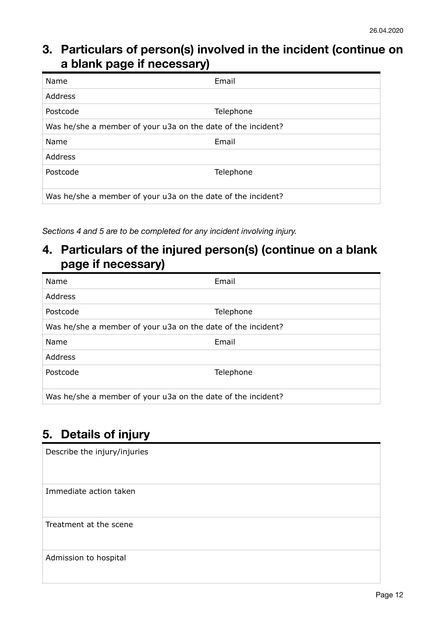## **3. Particulars of person(s) involved in the incident (continue on a blank page if necessary)**

| Name                                                         | Email     |  |  |
|--------------------------------------------------------------|-----------|--|--|
| Address                                                      |           |  |  |
| Postcode                                                     | Telephone |  |  |
| Was he/she a member of your u3a on the date of the incident? |           |  |  |
| Name                                                         | Email     |  |  |
| <b>Address</b>                                               |           |  |  |
| Postcode                                                     | Telephone |  |  |
| Was he/she a member of your u3a on the date of the incident? |           |  |  |

*Sections 4 and 5 are to be completed for any incident involving injury.* 

### **4. Particulars of the injured person(s) (continue on a blank page if necessary)**

| Name                                                         | Email     |  |  |
|--------------------------------------------------------------|-----------|--|--|
| Address                                                      |           |  |  |
| Postcode                                                     | Telephone |  |  |
| Was he/she a member of your u3a on the date of the incident? |           |  |  |
| Name                                                         | Email     |  |  |
| Address                                                      |           |  |  |
| Postcode                                                     | Telephone |  |  |
| Was he/she a member of your u3a on the date of the incident? |           |  |  |

## **5. Details of injury**

| Describe the injury/injuries |
|------------------------------|
| Immediate action taken       |
| Treatment at the scene       |
| Admission to hospital        |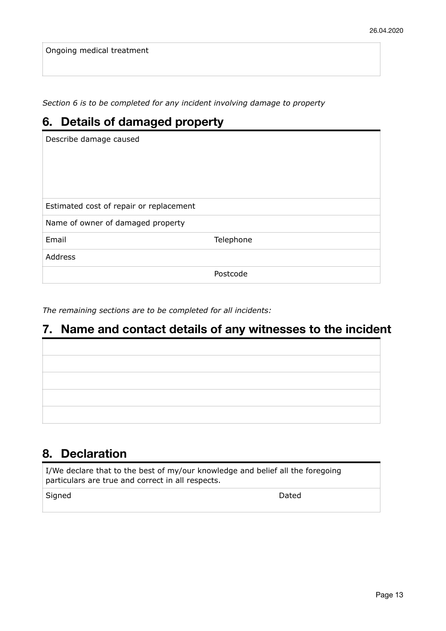Ongoing medical treatment

*Section 6 is to be completed for any incident involving damage to property*

| 6. Details of damaged property          |           |  |  |
|-----------------------------------------|-----------|--|--|
| Describe damage caused                  |           |  |  |
|                                         |           |  |  |
|                                         |           |  |  |
|                                         |           |  |  |
| Estimated cost of repair or replacement |           |  |  |
| Name of owner of damaged property       |           |  |  |
| Email                                   | Telephone |  |  |
| <b>Address</b>                          |           |  |  |
|                                         | Postcode  |  |  |

*The remaining sections are to be completed for all incidents:*

## **7. Name and contact details of any witnesses to the incident**

## **8. Declaration**

I/We declare that to the best of my/our knowledge and belief all the foregoing particulars are true and correct in all respects.

Signed Dated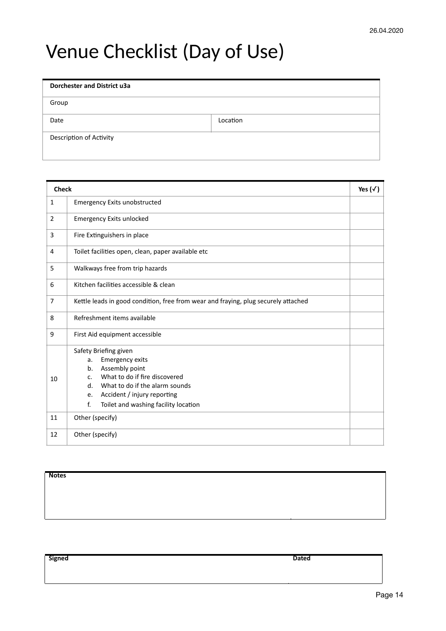# Venue Checklist (Day of Use)

| <b>Dorchester and District u3a</b> |          |
|------------------------------------|----------|
| Group                              |          |
| Date                               | Location |
| Description of Activity            |          |

| <b>Check</b>   |                                                                                                                                                                                                                                                                                  | Yes $(\sqrt{})$ |
|----------------|----------------------------------------------------------------------------------------------------------------------------------------------------------------------------------------------------------------------------------------------------------------------------------|-----------------|
| $\mathbf{1}$   | <b>Emergency Exits unobstructed</b>                                                                                                                                                                                                                                              |                 |
| $\overline{2}$ | <b>Emergency Exits unlocked</b>                                                                                                                                                                                                                                                  |                 |
| 3              | Fire Extinguishers in place                                                                                                                                                                                                                                                      |                 |
| 4              | Toilet facilities open, clean, paper available etc                                                                                                                                                                                                                               |                 |
| 5              | Walkways free from trip hazards                                                                                                                                                                                                                                                  |                 |
| 6              | Kitchen facilities accessible & clean                                                                                                                                                                                                                                            |                 |
| $\overline{7}$ | Kettle leads in good condition, free from wear and fraying, plug securely attached                                                                                                                                                                                               |                 |
| 8              | Refreshment items available                                                                                                                                                                                                                                                      |                 |
| 9              | First Aid equipment accessible                                                                                                                                                                                                                                                   |                 |
| 10             | Safety Briefing given<br><b>Emergency exits</b><br>a.<br>Assembly point<br>b <sub>1</sub><br>What to do if fire discovered<br>$\mathsf{C}$ .<br>What to do if the alarm sounds<br>$d_{\cdot}$<br>Accident / injury reporting<br>e.<br>f.<br>Toilet and washing facility location |                 |
| 11             | Other (specify)                                                                                                                                                                                                                                                                  |                 |
| 12             | Other (specify)                                                                                                                                                                                                                                                                  |                 |

**Notes**

**Signed Dated**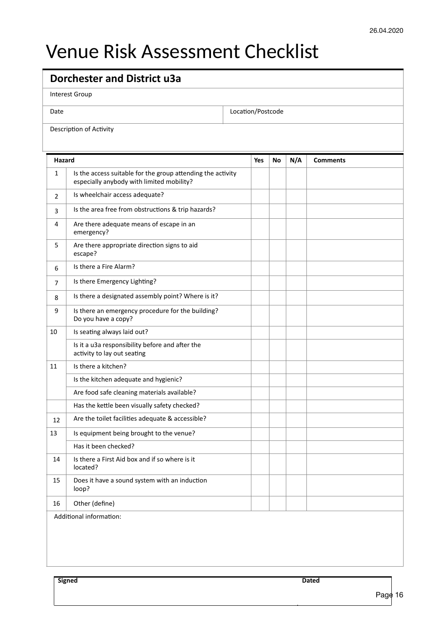# Venue Risk Assessment Checklist

| <b>Dorchester and District u3a</b> |                                                                                                          |  |                   |    |     |                 |
|------------------------------------|----------------------------------------------------------------------------------------------------------|--|-------------------|----|-----|-----------------|
| <b>Interest Group</b>              |                                                                                                          |  |                   |    |     |                 |
| Date                               |                                                                                                          |  | Location/Postcode |    |     |                 |
|                                    | Description of Activity                                                                                  |  |                   |    |     |                 |
|                                    |                                                                                                          |  |                   |    |     |                 |
| Hazard                             |                                                                                                          |  | <b>Yes</b>        | No | N/A | <b>Comments</b> |
| $\mathbf{1}$                       | Is the access suitable for the group attending the activity<br>especially anybody with limited mobility? |  |                   |    |     |                 |
| $\overline{2}$                     | Is wheelchair access adequate?                                                                           |  |                   |    |     |                 |
| 3                                  | Is the area free from obstructions & trip hazards?                                                       |  |                   |    |     |                 |
| 4                                  | Are there adequate means of escape in an<br>emergency?                                                   |  |                   |    |     |                 |
| 5                                  | Are there appropriate direction signs to aid<br>escape?                                                  |  |                   |    |     |                 |
| 6                                  | Is there a Fire Alarm?                                                                                   |  |                   |    |     |                 |
| 7                                  | Is there Emergency Lighting?                                                                             |  |                   |    |     |                 |
| 8                                  | Is there a designated assembly point? Where is it?                                                       |  |                   |    |     |                 |
| 9                                  | Is there an emergency procedure for the building?<br>Do you have a copy?                                 |  |                   |    |     |                 |
| 10                                 | Is seating always laid out?                                                                              |  |                   |    |     |                 |
|                                    | Is it a u3a responsibility before and after the<br>activity to lay out seating                           |  |                   |    |     |                 |
| 11                                 | Is there a kitchen?                                                                                      |  |                   |    |     |                 |
|                                    | Is the kitchen adequate and hygienic?                                                                    |  |                   |    |     |                 |
|                                    | Are food safe cleaning materials available?                                                              |  |                   |    |     |                 |
|                                    | Has the kettle been visually safety checked?                                                             |  |                   |    |     |                 |
| 12                                 | Are the toilet facilities adequate & accessible?                                                         |  |                   |    |     |                 |
| 13                                 | Is equipment being brought to the venue?                                                                 |  |                   |    |     |                 |
|                                    | Has it been checked?                                                                                     |  |                   |    |     |                 |
| 14                                 | Is there a First Aid box and if so where is it<br>located?                                               |  |                   |    |     |                 |
| 15                                 | Does it have a sound system with an induction<br>loop?                                                   |  |                   |    |     |                 |
| 16                                 | Other (define)                                                                                           |  |                   |    |     |                 |
| Additional information:            |                                                                                                          |  |                   |    |     |                 |
|                                    |                                                                                                          |  |                   |    |     |                 |
|                                    |                                                                                                          |  |                   |    |     |                 |
|                                    |                                                                                                          |  |                   |    |     |                 |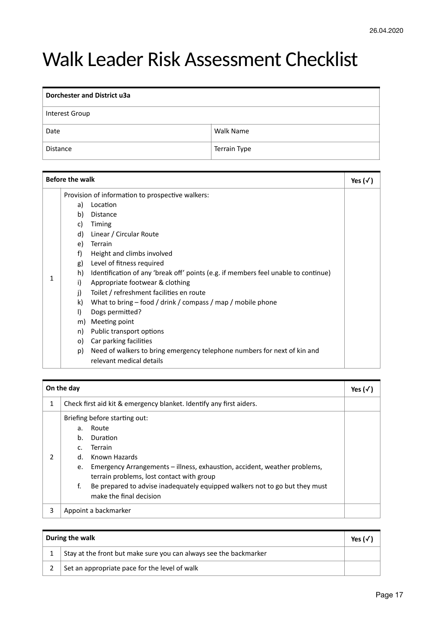# Walk Leader Risk Assessment Checklist

| <b>Dorchester and District u3a</b> |                     |  |
|------------------------------------|---------------------|--|
| Interest Group                     |                     |  |
| Date                               | <b>Walk Name</b>    |  |
| <b>Distance</b>                    | <b>Terrain Type</b> |  |

| <b>Before the walk</b> |                                                                                              | Yes $(\sqrt{})$                                                                                                                                                                                                                                                                                                                                                                                                                                                                                                                                                                                                                    |  |
|------------------------|----------------------------------------------------------------------------------------------|------------------------------------------------------------------------------------------------------------------------------------------------------------------------------------------------------------------------------------------------------------------------------------------------------------------------------------------------------------------------------------------------------------------------------------------------------------------------------------------------------------------------------------------------------------------------------------------------------------------------------------|--|
| 1                      | a)<br>b)<br>C)<br>d)<br>e)<br>f)<br>g)<br>h)<br>i)<br>i)<br>k)<br>I)<br>m)<br>n)<br>O)<br>p) | Provision of information to prospective walkers:<br>Location<br><b>Distance</b><br>Timing<br>Linear / Circular Route<br>Terrain<br>Height and climbs involved<br>Level of fitness required<br>Identification of any 'break off' points (e.g. if members feel unable to continue)<br>Appropriate footwear & clothing<br>Toilet / refreshment facilities en route<br>What to bring $-$ food / drink / compass / map / mobile phone<br>Dogs permitted?<br>Meeting point<br>Public transport options<br>Car parking facilities<br>Need of walkers to bring emergency telephone numbers for next of kin and<br>relevant medical details |  |

|   | On the day                       |                                                                                                                                                                                                                                                                                                                           | Yes $(\sqrt{})$ |
|---|----------------------------------|---------------------------------------------------------------------------------------------------------------------------------------------------------------------------------------------------------------------------------------------------------------------------------------------------------------------------|-----------------|
| 1 |                                  | Check first aid kit & emergency blanket. Identify any first aiders.                                                                                                                                                                                                                                                       |                 |
| 2 | a.<br>b.<br>c.<br>d.<br>e.<br>f. | Briefing before starting out:<br>Route<br>Duration<br><b>Terrain</b><br>Known Hazards<br>Emergency Arrangements – illness, exhaustion, accident, weather problems,<br>terrain problems, lost contact with group<br>Be prepared to advise inadequately equipped walkers not to go but they must<br>make the final decision |                 |
| 3 |                                  | Appoint a backmarker                                                                                                                                                                                                                                                                                                      |                 |

| During the walk                                                   | Yes ( $\sqrt$ |
|-------------------------------------------------------------------|---------------|
| Stay at the front but make sure you can always see the backmarker |               |
| Set an appropriate pace for the level of walk                     |               |